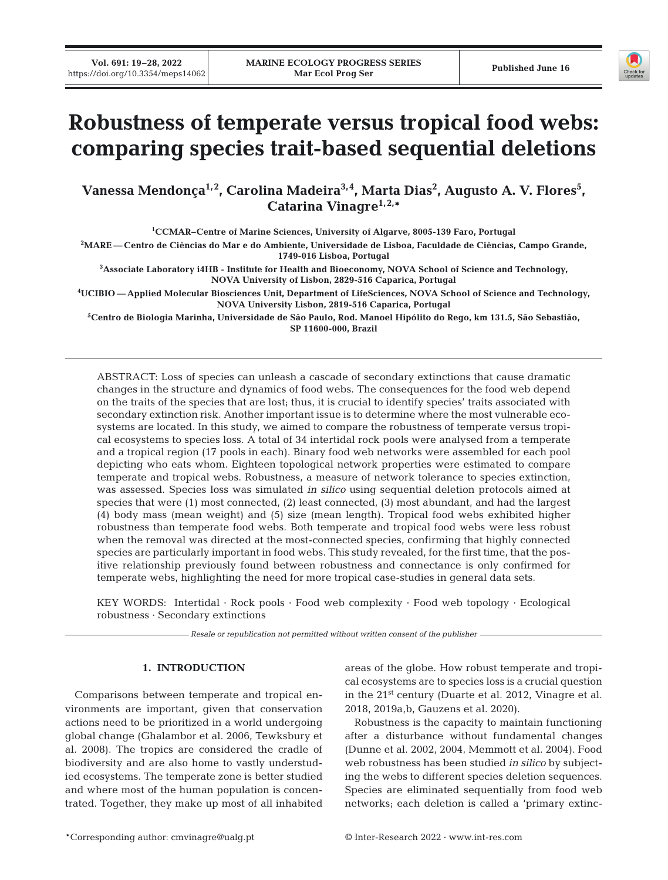

# **Robustness of temperate versus tropical food webs: comparing species trait-based sequential deletions**

Vanessa Mendonça<sup>1,2</sup>, Carolina Madeira<sup>3,4</sup>, Marta Dias<sup>2</sup>, Augusto A. V. Flores<sup>5</sup>, **Catarina Vinagre1,2,\*** 

**1 CCMAR−Centre of Marine Sciences, University of Algarve, 8005-139 Faro, Portugal 2 MARE — Centro de Ciências do Mar e do Ambiente, Universidade de Lisboa, Faculdade de Ciências, Campo Grande, 1749-016 Lisboa, Portugal** 

**3 Associate Laboratory i4HB - Institute for Health and Bioeconomy, NOVA School of Science and Technology, NOVA University of Lisbon, 2829-516 Caparica, Portugal** 

**4 UCIBIO — Applied Molecular Biosciences Unit, Department of LifeSciences, NOVA School of Science and Technology, NOVA University Lisbon, 2819-516 Caparica, Portugal** 

**5 Centro de Biologia Marinha, Universidade de São Paulo, Rod. Manoel Hipólito do Rego, km 131.5, São Sebastião, SP 11600-000, Brazil**

ABSTRACT: Loss of species can unleash a cascade of secondary extinctions that cause dramatic changes in the structure and dynamics of food webs. The consequences for the food web depend on the traits of the species that are lost; thus, it is crucial to identify species' traits associated with secondary extinction risk. Another important issue is to determine where the most vulnerable ecosystems are located. In this study, we aimed to compare the robustness of temperate versus tropical ecosystems to species loss. A total of 34 intertidal rock pools were analysed from a temperate and a tropical region (17 pools in each). Binary food web networks were assembled for each pool depicting who eats whom. Eighteen topological network properties were estimated to compare temperate and tropical webs. Robustness, a measure of network tolerance to species extinction, was assessed. Species loss was simulated *in silico* using sequential deletion protocols aimed at species that were (1) most connected, (2) least connected, (3) most abundant, and had the largest (4) body mass (mean weight) and (5) size (mean length). Tropical food webs exhibited higher robustness than temperate food webs. Both temperate and tropical food webs were less robust when the removal was directed at the most-connected species, confirming that highly connected species are particularly important in food webs. This study revealed, for the first time, that the positive relationship previously found between robustness and connectance is only confirmed for temperate webs, highlighting the need for more tropical case-studies in general data sets.

KEY WORDS: Intertidal · Rock pools · Food web complexity · Food web topology · Ecological robustness · Secondary extinctions

*Resale or republication not permitted without written consent of the publisher*

# **1. INTRODUCTION**

Comparisons between temperate and tropical environments are important, given that conservation actions need to be prioritized in a world undergoing global change (Ghalambor et al. 2006, Tewksbury et al. 2008). The tropics are considered the cradle of biodiversity and are also home to vastly understudied ecosystems. The temperate zone is better studied and where most of the human population is concentrated. Together, they make up most of all inhabited areas of the globe. How robust temperate and tropical ecosystems are to species loss is a crucial question in the  $21<sup>st</sup>$  century (Duarte et al. 2012, Vinagre et al. 2018, 2019a,b, Gauzens et al. 2020).

Robustness is the capacity to maintain functioning after a disturbance without fundamental changes (Dunne et al. 2002, 2004, Memmott et al. 2004). Food web robustness has been studied *in silico* by subjecting the webs to different species deletion sequences. Species are eliminated sequentially from food web networks; each deletion is called a 'primary extinc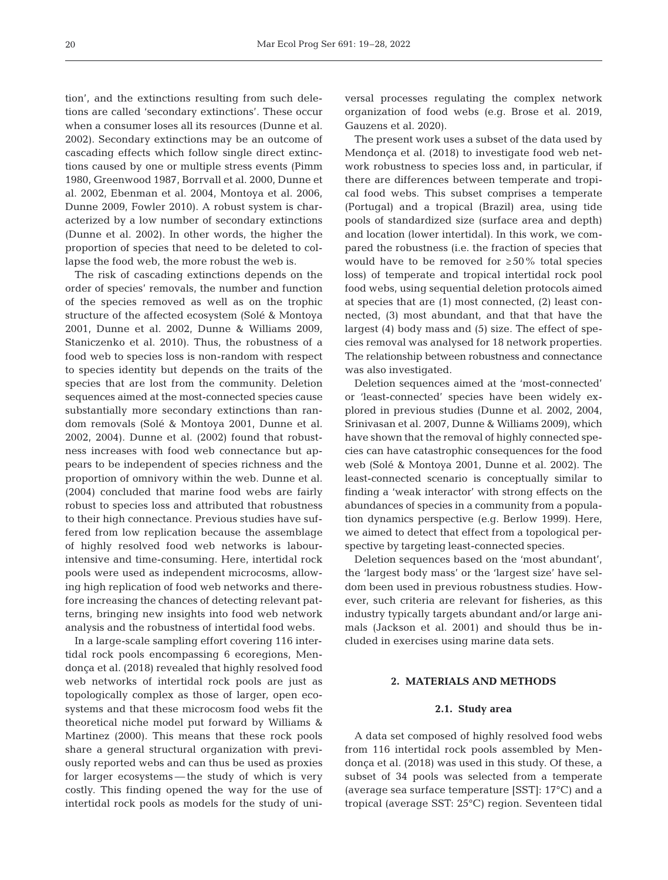tion', and the extinctions resulting from such deletions are called 'secondary extinctions'. These occur when a consumer loses all its resources (Dunne et al. 2002). Secondary extinctions may be an outcome of cascading effects which follow single direct extinctions caused by one or multiple stress events (Pimm 1980, Greenwood 1987, Borrvall et al. 2000, Dunne et al. 2002, Ebenman et al. 2004, Montoya et al. 2006, Dunne 2009, Fowler 2010). A robust system is characterized by a low number of secondary extinctions (Dunne et al. 2002). In other words, the higher the proportion of species that need to be deleted to collapse the food web, the more robust the web is.

The risk of cascading extinctions depends on the order of species' removals, the number and function of the species removed as well as on the trophic structure of the affected ecosystem (Solé & Montoya 2001, Dunne et al. 2002, Dunne & Williams 2009, Staniczenko et al. 2010). Thus, the robustness of a food web to species loss is non-random with respect to species identity but depends on the traits of the species that are lost from the community. Deletion sequences aimed at the most-connected species cause substantially more secondary extinctions than random removals (Solé & Montoya 2001, Dunne et al. 2002, 2004). Dunne et al. (2002) found that robustness increases with food web connectance but appears to be independent of species richness and the proportion of omnivory within the web. Dunne et al. (2004) concluded that marine food webs are fairly robust to species loss and attributed that robustness to their high connectance. Previous studies have suffered from low replication because the assemblage of highly resolved food web networks is labourintensive and time-consuming. Here, intertidal rock pools were used as independent microcosms, allowing high replication of food web networks and therefore increasing the chances of detecting relevant patterns, bringing new insights into food web network analysis and the robustness of intertidal food webs.

In a large-scale sampling effort covering 116 intertidal rock pools encompassing 6 ecoregions, Mendonça et al. (2018) revealed that highly resolved food web networks of intertidal rock pools are just as topologically complex as those of larger, open ecosystems and that these microcosm food webs fit the theoretical niche model put forward by Williams & Martinez (2000). This means that these rock pools share a general structural organization with previously reported webs and can thus be used as proxies for larger ecosystems — the study of which is very costly. This finding opened the way for the use of intertidal rock pools as models for the study of universal processes regulating the complex network organization of food webs (e.g. Brose et al. 2019, Gauzens et al. 2020).

The present work uses a subset of the data used by Mendonça et al. (2018) to investigate food web network robustness to species loss and, in particular, if there are differences between temperate and tropical food webs. This subset comprises a temperate (Portugal) and a tropical (Brazil) area, using tide pools of standardized size (surface area and depth) and location (lower intertidal). In this work, we compared the robustness (i.e. the fraction of species that would have to be removed for  $\geq 50\%$  total species loss) of temperate and tropical intertidal rock pool food webs, using sequential deletion protocols aimed at species that are (1) most connected, (2) least connected, (3) most abundant, and that that have the largest (4) body mass and (5) size. The effect of species removal was analysed for 18 network properties. The relationship between robustness and connectance was also investigated.

Deletion sequences aimed at the 'most-connected' or 'least-connected' species have been widely explored in previous studies (Dunne et al. 2002, 2004, Srinivasan et al. 2007, Dunne & Williams 2009), which have shown that the removal of highly connected species can have catastrophic consequences for the food web (Solé & Montoya 2001, Dunne et al. 2002). The least-connected scenario is conceptually similar to finding a 'weak interactor' with strong effects on the abundances of species in a community from a population dynamics perspective (e.g. Berlow 1999). Here, we aimed to detect that effect from a topological perspective by targeting least-connected species.

Deletion sequences based on the 'most abundant', the 'largest body mass' or the 'largest size' have seldom been used in previous robustness studies. However, such criteria are relevant for fisheries, as this industry typically targets abundant and/or large animals (Jackson et al. 2001) and should thus be included in exercises using marine data sets.

## **2. MATERIALS AND METHODS**

### **2.1. Study area**

A data set composed of highly resolved food webs from 116 intertidal rock pools assembled by Mendonça et al. (2018) was used in this study. Of these, a subset of 34 pools was selected from a temperate (average sea surface temperature [SST]: 17°C) and a tropical (average SST: 25°C) region. Seventeen tidal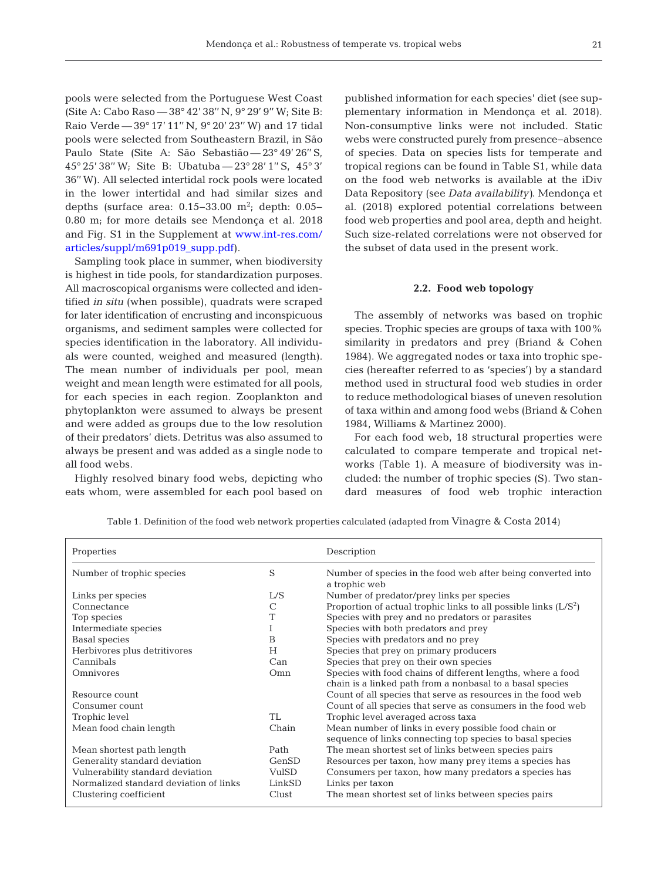pools were selected from the Portuguese West Coast (Site A: Cabo Raso — 38° 42' 38'' N, 9° 29' 9'' W; Site B: Raio Verde — 39° 17' 11'' N, 9° 20' 23'' W) and 17 tidal pools were selected from Southeastern Brazil, in São Paulo State (Site A: São Sebastião — 23° 49' 26" S, 45° 25' 38'' W; Site B: Ubatuba — 23° 28' 1'' S, 45° 3' 36'' W). All selected intertidal rock pools were located in the lower intertidal and had similar sizes and depths (surface area:  $0.15-33.00$  m<sup>2</sup>; depth: 0.05− 0.80 m; for more details see Mendonça et al. 2018 and Fig. S1 in the Supplement a[t www.int-res.com/](https://www.int-res.com/articles/suppl/m691p019_supp.pdf) [articles/suppl/m691p019\\_supp.pdf\)](https://www.int-res.com/articles/suppl/m691p019_supp.pdf).

Sampling took place in summer, when biodiversity is highest in tide pools, for standardization purposes. All macroscopical organisms were collected and identified *in situ* (when possible), quadrats were scraped for later identification of encrusting and inconspicuous organisms, and sediment samples were collected for species identification in the laboratory. All individuals were counted, weighed and measured (length). The mean number of individuals per pool, mean weight and mean length were estimated for all pools, for each species in each region. Zooplankton and phytoplankton were assumed to always be present and were added as groups due to the low resolution of their predators' diets. Detritus was also assumed to always be present and was added as a single node to all food webs.

Highly resolved binary food webs, depicting who eats whom, were assembled for each pool based on

published information for each species' diet (see supplementary information in Mendonça et al. 2018). Non-consumptive links were not included. Static webs were constructed purely from presence−absence of species. Data on species lists for temperate and tropical regions can be found in Table S1, while data on the food web networks is available at the iDiv Data Repository (see *Data availability)*. Mendonça et al. (2018) explored potential correlations between food web properties and pool area, depth and height. Such size-related correlations were not observed for the subset of data used in the present work.

## **2.2. Food web topology**

The assembly of networks was based on trophic species. Trophic species are groups of taxa with 100% similarity in predators and prey (Briand & Cohen 1984). We aggregated nodes or taxa into trophic species (hereafter referred to as 'species') by a standard method used in structural food web studies in order to reduce methodological biases of uneven resolution of taxa within and among food webs (Briand & Cohen 1984, Williams & Martinez 2000).

For each food web, 18 structural properties were calculated to compare temperate and tropical networks (Table 1). A measure of biodiversity was in cluded: the number of trophic species (S). Two standard measures of food web trophic interaction

| Properties                             |               | Description                                                                   |
|----------------------------------------|---------------|-------------------------------------------------------------------------------|
| Number of trophic species              | S             | Number of species in the food web after being converted into<br>a trophic web |
| Links per species                      | L/S           | Number of predator/prey links per species                                     |
| Connectance                            | $\mathcal{C}$ | Proportion of actual trophic links to all possible links $(L/S^2)$            |
| Top species                            | Τ             | Species with prey and no predators or parasites                               |
| Intermediate species                   | Ι             | Species with both predators and prey                                          |
| Basal species                          | B             | Species with predators and no prey                                            |
| Herbivores plus detritivores           | H             | Species that prey on primary producers                                        |
| Cannibals                              | Can           | Species that prey on their own species                                        |
| Omnivores                              | Omn           | Species with food chains of different lengths, where a food                   |
|                                        |               | chain is a linked path from a nonbasal to a basal species                     |
| Resource count                         |               | Count of all species that serve as resources in the food web                  |
| Consumer count                         |               | Count of all species that serve as consumers in the food web                  |
| Trophic level                          | TL            | Trophic level averaged across taxa                                            |
| Mean food chain length                 | Chain         | Mean number of links in every possible food chain or                          |
|                                        |               | sequence of links connecting top species to basal species                     |
| Mean shortest path length              | Path          | The mean shortest set of links between species pairs                          |
| Generality standard deviation          | GenSD         | Resources per taxon, how many prey items a species has                        |
| Vulnerability standard deviation       | VulSD         | Consumers per taxon, how many predators a species has                         |
| Normalized standard deviation of links | LinkSD        | Links per taxon                                                               |
| Clustering coefficient                 | Clust         | The mean shortest set of links between species pairs                          |

Table 1. Definition of the food web network properties calculated (adapted from Vinagre & Costa 2014)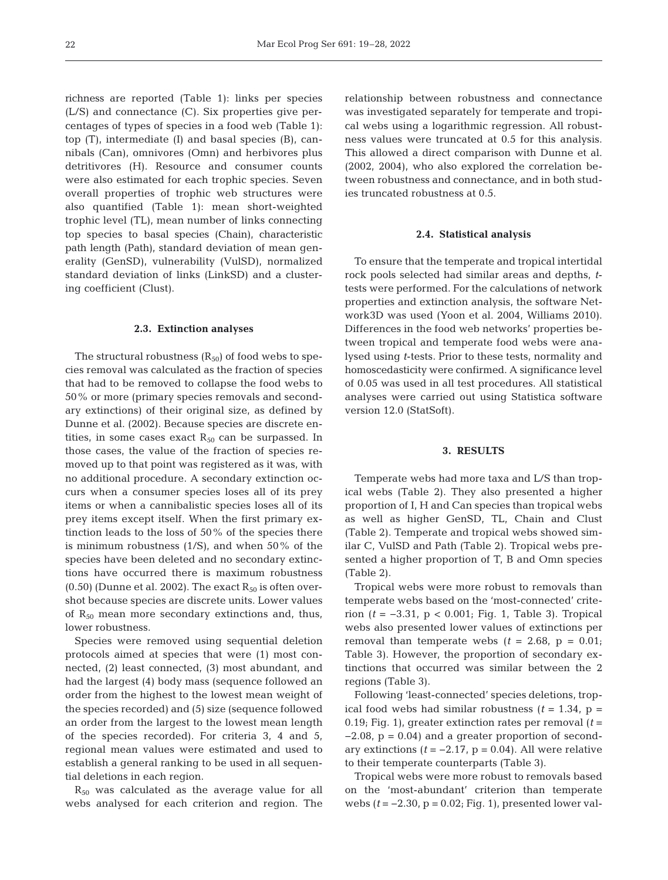richness are reported (Table 1): links per species (L/S) and connectance (C). Six properties give percentages of types of species in a food web (Table 1): top (T), intermediate (I) and basal species (B), cannibals (Can), omnivores (Omn) and herbivores plus detritivores (H). Resource and consumer counts were also estimated for each trophic species. Seven overall properties of trophic web structures were also quantified (Table 1): mean short-weighted trophic level (TL), mean number of links connecting top species to basal species (Chain), characteristic path length (Path), standard deviation of mean generality (GenSD), vulnerability (VulSD), normalized standard deviation of links (LinkSD) and a clustering coefficient (Clust).

#### **2.3. Extinction analyses**

The structural robustness  $(R_{50})$  of food webs to species removal was calculated as the fraction of species that had to be removed to collapse the food webs to 50% or more (primary species removals and secondary extinctions) of their original size, as defined by Dunne et al. (2002). Because species are discrete entities, in some cases exact  $R_{50}$  can be surpassed. In those cases, the value of the fraction of species re moved up to that point was registered as it was, with no additional procedure. A secondary extinction oc curs when a consumer species loses all of its prey items or when a cannibalistic species loses all of its prey items except itself. When the first primary extinction leads to the loss of 50% of the species there is minimum robustness (1/S), and when 50% of the species have been deleted and no secondary extinctions have occurred there is maximum robustness (0.50) (Dunne et al. 2002). The exact  $R_{50}$  is often overshot because species are discrete units. Lower values of  $R_{50}$  mean more secondary extinctions and, thus, lower robustness.

Species were removed using sequential deletion protocols aimed at species that were (1) most connected, (2) least connected, (3) most abundant, and had the largest (4) body mass (sequence followed an order from the highest to the lowest mean weight of the species recorded) and (5) size (sequence followed an order from the largest to the lowest mean length of the species recorded). For criteria 3, 4 and 5, regional mean values were estimated and used to establish a general ranking to be used in all sequential deletions in each region.

 $R_{50}$  was calculated as the average value for all webs analysed for each criterion and region. The

relationship between robustness and connectance was investigated separately for temperate and tropical webs using a logarithmic regression. All robustness values were truncated at 0.5 for this analysis. This allowed a direct comparison with Dunne et al. (2002, 2004), who also explored the correlation be tween robustness and connectance, and in both studies truncated robustness at 0.5.

## **2.4. Statistical analysis**

To ensure that the temperate and tropical intertidal rock pools selected had similar areas and depths, *t*tests were performed. For the calculations of network properties and extinction analysis, the software Network3D was used (Yoon et al. 2004, Williams 2010). Differences in the food web networks' properties be tween tropical and temperate food webs were analysed using *t*-tests. Prior to these tests, normality and homoscedasticity were confirmed. A significance level of 0.05 was used in all test procedures. All statistical analyses were carried out using Statistica software version 12.0 (StatSoft).

## **3. RESULTS**

Temperate webs had more taxa and L/S than tropical webs (Table 2). They also presented a higher proportion of I, H and Can species than tropical webs as well as higher GenSD, TL, Chain and Clust (Table 2). Temperate and tropical webs showed similar C, VulSD and Path (Table 2). Tropical webs presented a higher proportion of T, B and Omn species (Table 2).

Tropical webs were more robust to removals than temperate webs based on the 'most-connected' criterion (*t* = −3.31, p < 0.001; Fig. 1, Table 3). Tropical webs also presented lower values of extinctions per removal than temperate webs  $(t = 2.68, p = 0.01)$ ; Table 3). However, the proportion of secondary extinctions that occurred was similar between the 2 regions (Table 3).

Following 'least-connected' species deletions, tropical food webs had similar robustness  $(t = 1.34, p =$ 0.19; Fig. 1), greater extinction rates per removal (*t* =  $-2.08$ ,  $p = 0.04$ ) and a greater proportion of secondary extinctions  $(t = -2.17, p = 0.04)$ . All were relative to their temperate counterparts (Table 3).

Tropical webs were more robust to removals based on the 'most-abundant' criterion than temperate webs  $(t = -2.30, p = 0.02$ ; Fig. 1), presented lower val-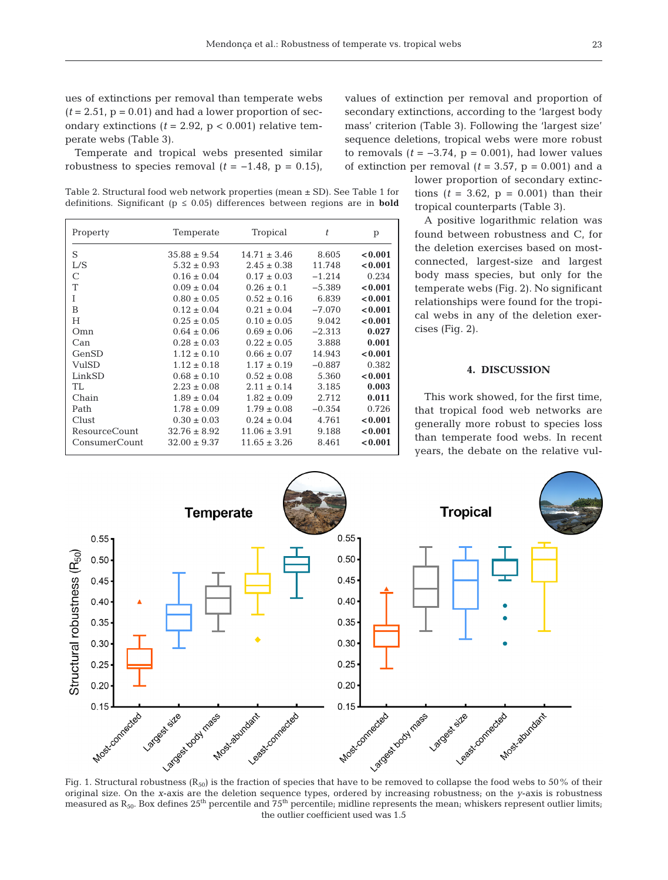Temperate and tropical webs presented similar robustness to species removal  $(t = -1.48, p = 0.15)$ ,

Table 2. Structural food web network properties (mean ± SD). See Table 1 for definitions. Significant ( $p \le 0.05$ ) differences between regions are in **bold** 

| Property      | Temperate        | Tropical         | t        | p       |
|---------------|------------------|------------------|----------|---------|
| S             | $35.88 \pm 9.54$ | $14.71 \pm 3.46$ | 8.605    | < 0.001 |
| L/S           | $5.32 \pm 0.93$  | $2.45 \pm 0.38$  | 11.748   | < 0.001 |
| C             | $0.16 \pm 0.04$  | $0.17 \pm 0.03$  | $-1.214$ | 0.234   |
| Т             | $0.09 \pm 0.04$  | $0.26 \pm 0.1$   | $-5.389$ | < 0.001 |
| T             | $0.80 \pm 0.05$  | $0.52 \pm 0.16$  | 6.839    | < 0.001 |
| B             | $0.12 \pm 0.04$  | $0.21 \pm 0.04$  | $-7.070$ | < 0.001 |
| H             | $0.25 \pm 0.05$  | $0.10 \pm 0.05$  | 9.042    | < 0.001 |
| Omn           | $0.64 \pm 0.06$  | $0.69 \pm 0.06$  | $-2.313$ | 0.027   |
| Can           | $0.28 \pm 0.03$  | $0.22 \pm 0.05$  | 3.888    | 0.001   |
| GenSD         | $1.12 \pm 0.10$  | $0.66 \pm 0.07$  | 14.943   | < 0.001 |
| VulSD         | $1.12 \pm 0.18$  | $1.17 \pm 0.19$  | $-0.887$ | 0.382   |
| LinkSD        | $0.68 \pm 0.10$  | $0.52 \pm 0.08$  | 5.360    | < 0.001 |
| TL            | $2.23 \pm 0.08$  | $2.11 \pm 0.14$  | 3.185    | 0.003   |
| Chain         | $1.89 \pm 0.04$  | $1.82 \pm 0.09$  | 2.712    | 0.011   |
| Path          | $1.78 \pm 0.09$  | $1.79 \pm 0.08$  | $-0.354$ | 0.726   |
| Clust         | $0.30 \pm 0.03$  | $0.24 \pm 0.04$  | 4.761    | < 0.001 |
| ResourceCount | $32.76 \pm 8.92$ | $11.06 \pm 3.91$ | 9.188    | < 0.001 |
| ConsumerCount | $32.00 \pm 9.37$ | $11.65 \pm 3.26$ | 8.461    | < 0.001 |

values of extinction per removal and proportion of secondary extinctions, according to the 'largest body mass' criterion (Table 3). Following the 'largest size' sequence deletions, tropical webs were more robust to removals  $(t = -3.74, p = 0.001)$ , had lower values of extinction per removal  $(t = 3.57, p = 0.001)$  and a

lower proportion of secondary extinctions  $(t = 3.62, p = 0.001)$  than their tropical counterparts (Table 3).

A positive logarithmic relation was found between robustness and C, for the deletion exercises based on mostconnected, largest-size and largest body mass species, but only for the temperate webs (Fig. 2). No significant relationships were found for the tropical webs in any of the deletion exercises (Fig. 2).

## **4. DISCUSSION**

This work showed, for the first time, that tropical food web networks are generally more robust to species loss than temperate food webs. In recent years, the debate on the relative vul-



original size. On the *x*-axis are the deletion sequence types, ordered by increasing robustness; on the *y*-axis is robustness measured as  $R_{50}$ . Box defines  $25<sup>th</sup>$  percentile and  $75<sup>th</sup>$  percentile; midline represents the mean; whiskers represent outlier limits; the outlier coefficient used was 1.5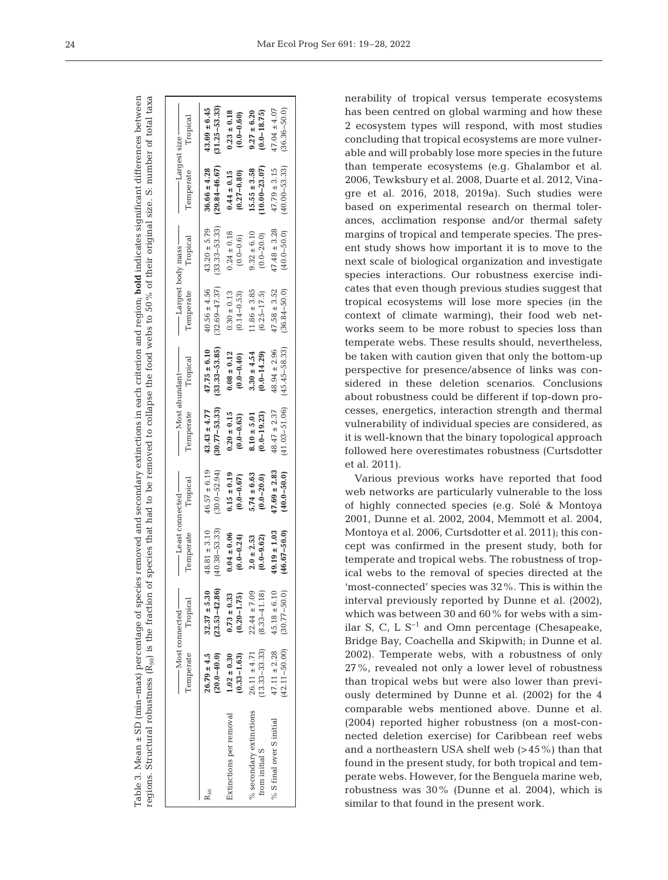Table 3. Mean ± SD (min−max) percentage of species removed and secondary extinctions in each criterion and region; **bold** indicates significant differences between Table 3. Mean  $\pm$  SD (min-max) percentage of species removed and secondary extinctions in each criterion and region; **bold** indicates significant differences between regions. Structural robustness (R<sub>50</sub>) is the fraction of species that had to be removed to collapse the food webs to 50% of their original size. S: number of total taxa regions. Structural robustness (R50) is the fraction of species that had to be removed to collapse the food webs to 50% of their original size. S: number of total taxa

|                          | Temperate         | Tropical          | Temperate        | Tropical         | Temperate         | Tropical          | —— Largest body mass ——<br>Temperate | Tropical          | - Largest size –<br>Temperate | Tropical          |
|--------------------------|-------------------|-------------------|------------------|------------------|-------------------|-------------------|--------------------------------------|-------------------|-------------------------------|-------------------|
| $k_{50}$                 | $26.79 \pm 4.5$   | $(23.53 - 42.86)$ | $40.38 - 53.33$  | $46.57 \pm 6.19$ | $(30.77 - 53.33)$ | $(33.33 - 53.85)$ | $(32.69 - 47.37)$                    | $(33.33 - 53.33)$ | $(29.84 - 46.67)$             | $(31.25 - 53.33)$ |
|                          | $(20.0 - 40.0)$   | $32.37 \pm 5.30$  | $48.81 \pm 3.10$ | $(30.0 - 52.94)$ | $43.43 \pm 4.77$  | $47.75 \pm 6.10$  | $40.56 \pm 4.56$                     | $43.20 \pm 5.79$  | $36.66 \pm 4.28$              | $43.69 \pm 6.45$  |
| Extinctions per removal  | $1.02 \pm 0.30$   | $0.73 \pm 0.33$   | $0.04 \pm 0.06$  | $0.15 \pm 0.19$  | $0.20 \pm 0.15$   | $0.08 \pm 0.12$   | $0.30 \pm 0.13$                      | $0.24 \pm 0.18$   | $0.44 \pm 0.15$               | $0.23 \pm 0.18$   |
|                          | $(0.33 - 1.63)$   | $(0.20 - 1.75)$   | $(0.0 - 0.24)$   | $(0.0 - 0.67)$   | $(0.0 - 0.63)$    | $(0.0 - 0.40)$    | $(0.14 - 0.53)$                      | $(0.0 - 0.6)$     | $(0.27 - 0.80)$               | $(0.0 - 0.60)$    |
| % secondary extinctions  | $13.33 - 33.33$   | $22.44 \pm 7.09$  | $2.0 \pm 2.53$   | $5.74 \pm 6.63$  | $(0.0 - 19.23)$   | $3.30 \pm 4.54$   | $1.86 \pm 3.85$                      | $9.32 \pm 6.10$   | $10.00 - 23.07$               | $9.27 \pm 6.20$   |
| from initial S           | $26.11 \pm 4.71$  | $(8.33 - 41.18)$  | $(0.0 - 9.62)$   | $(0.0 - 20.0)$   | $8.10 \pm 5.01$   | $(0.0 - 14.29)$   | $(6.25 - 17.5)$                      | $(0.0 - 20.0)$    | $15.55 \pm 3.58$              | $(0.0 - 18.75)$   |
| % S final over S initial | $(42.11 - 50.00)$ | $45.18 \pm 6.10$  | $(46.67 - 50.0)$ | $47.69 \pm 2.83$ | $(41.03 - 51.06)$ | $(45.45 - 58.33)$ | $47.58 \pm 3.52$                     | $17.48 \pm 3.28$  | $(40.00 - 53.33)$             | $47.04 \pm 4.07$  |
|                          | $47.11 \pm 2.28$  | $(30.77 - 50.0$   | $49.19 \pm 1.03$ | $(40.0 - 50.0)$  | $48.47 \pm 2.37$  | $48.94 \pm 2.96$  | $(36.84 - 50.0)$                     | $(40.0 - 50.0)$   | $47.79 \pm 3.15$              | $36.36 - 50.0$    |

nerability of tropical versus temperate ecosystems has been centred on global warming and how these 2 ecosystem types will respond, with most studies concluding that tropical ecosystems are more vulnerable and will probably lose more species in the future than temperate ecosystems (e.g. Ghalambor et al. 2006, Tewksbury et al. 2008, Duarte et al. 2012, Vinagre et al. 2016, 2018, 2019a). Such studies were based on experimental research on thermal tolerances, acclimation response and/or thermal safety margins of tropical and temperate species. The present study shows how important it is to move to the next scale of biological organization and investigate species interactions. Our robustness exercise indicates that even though previous studies suggest that tropical ecosystems will lose more species (in the context of climate warming), their food web networks seem to be more robust to species loss than temperate webs. These results should, nevertheless, be taken with caution given that only the bottom-up perspective for presence/absence of links was considered in these deletion scenarios. Conclusions about robustness could be different if top-down processes, energetics, interaction strength and thermal vulnerability of individual species are considered, as it is well-known that the binary topological approach followed here overestimates robustness (Curtsdotter et al. 2011).

Various previous works have reported that food web networks are particularly vulnerable to the loss of highly connected species (e.g. Solé & Montoya 2001, Dunne et al. 2002, 2004, Memmott et al. 2004, Montoya et al. 2006, Curtsdotter et al. 2011); this concept was confirmed in the present study, both for temperate and tropical webs. The robustness of tropical webs to the removal of species directed at the 'most-connected' species was 32%. This is within the interval previously reported by Dunne et al. (2002), which was between 30 and 60% for webs with a similar S, C, L S<sup>-1</sup> and Omn percentage (Chesapeake, Bridge Bay, Coachella and Skipwith; in Dunne et al. 2002). Temperate webs, with a robustness of only 27%, revealed not only a lower level of robustness than tropical webs but were also lower than previously determined by Dunne et al. (2002) for the 4 comparable webs mentioned above. Dunne et al. (2004) reported higher robustness (on a most-connected deletion exercise) for Caribbean reef webs and a northeastern USA shelf web (>45%) than that found in the present study, for both tropical and temperate webs. However, for the Benguela marine web, robustness was 30% (Dunne et al. 2004), which is similar to that found in the present work.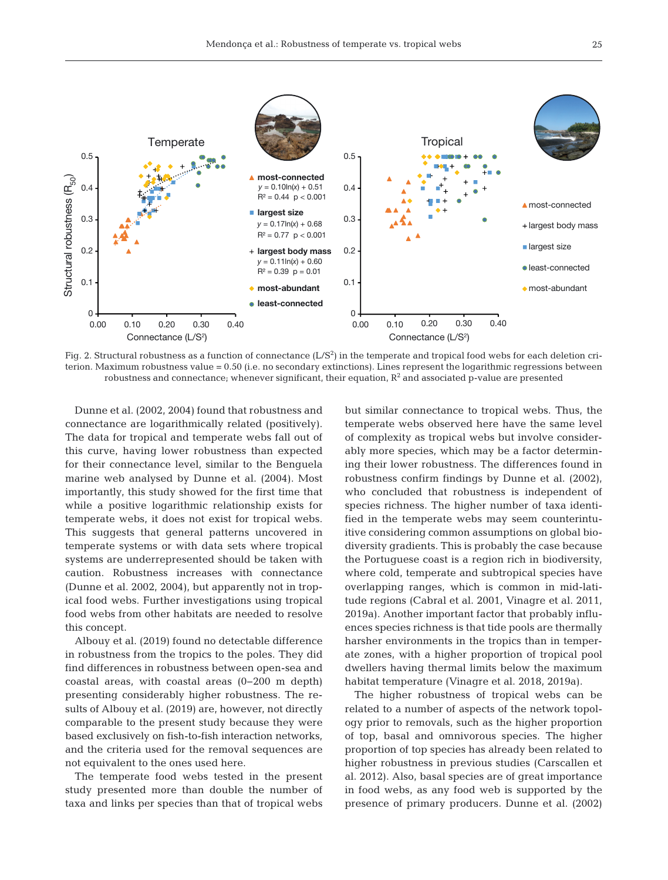

Fig. 2. Structural robustness as a function of connectance  $(L/S^2)$  in the temperate and tropical food webs for each deletion criterion. Maximum robustness value = 0.50 (i.e. no secondary extinctions). Lines represent the logarithmic regressions between robustness and connectance; whenever significant, their equation,  $\mathrm{R}^2$  and associated p-value are presented

Dunne et al. (2002, 2004) found that robustness and connectance are logarithmically related (positively). The data for tropical and temperate webs fall out of this curve, having lower robustness than expected for their connectance level, similar to the Benguela marine web analysed by Dunne et al. (2004). Most im portantly, this study showed for the first time that while a positive logarithmic relationship exists for temperate webs, it does not exist for tropical webs. This suggests that general patterns uncovered in temperate systems or with data sets where tropical systems are underrepresented should be taken with caution. Robustness increases with connectance (Dunne et al. 2002, 2004), but apparently not in tropical food webs. Further investigations using tropical food webs from other habitats are needed to resolve this concept.

Albouy et al. (2019) found no detectable difference in robustness from the tropics to the poles. They did find differences in robustness between open-sea and coastal areas, with coastal areas (0−200 m depth) presenting considerably higher robustness. The results of Albouy et al. (2019) are, however, not directly comparable to the present study because they were based exclusively on fish-to-fish interaction networks, and the criteria used for the removal sequences are not equivalent to the ones used here.

The temperate food webs tested in the present study presented more than double the number of taxa and links per species than that of tropical webs

but similar connectance to tropical webs. Thus, the temperate webs observed here have the same level of complexity as tropical webs but involve considerably more species, which may be a factor determining their lower robustness. The differences found in robustness confirm findings by Dunne et al. (2002), who concluded that robustness is independent of species richness. The higher number of taxa identified in the temperate webs may seem counterintuitive considering common assumptions on global biodiversity gradients. This is probably the case because the Portuguese coast is a region rich in biodiversity, where cold, temperate and subtropical species have overlapping ranges, which is common in mid-latitude regions (Cabral et al. 2001, Vinagre et al. 2011, 2019a). Another important factor that probably influences species richness is that tide pools are thermally harsher environments in the tropics than in temperate zones, with a higher proportion of tropical pool dwellers having thermal limits below the maximum habitat temperature (Vinagre et al. 2018, 2019a).

The higher robustness of tropical webs can be related to a number of aspects of the network topology prior to removals, such as the higher proportion of top, basal and omnivorous species. The higher proportion of top species has already been related to higher robustness in previous studies (Carscallen et al. 2012). Also, basal species are of great importance in food webs, as any food web is supported by the presence of primary producers. Dunne et al. (2002)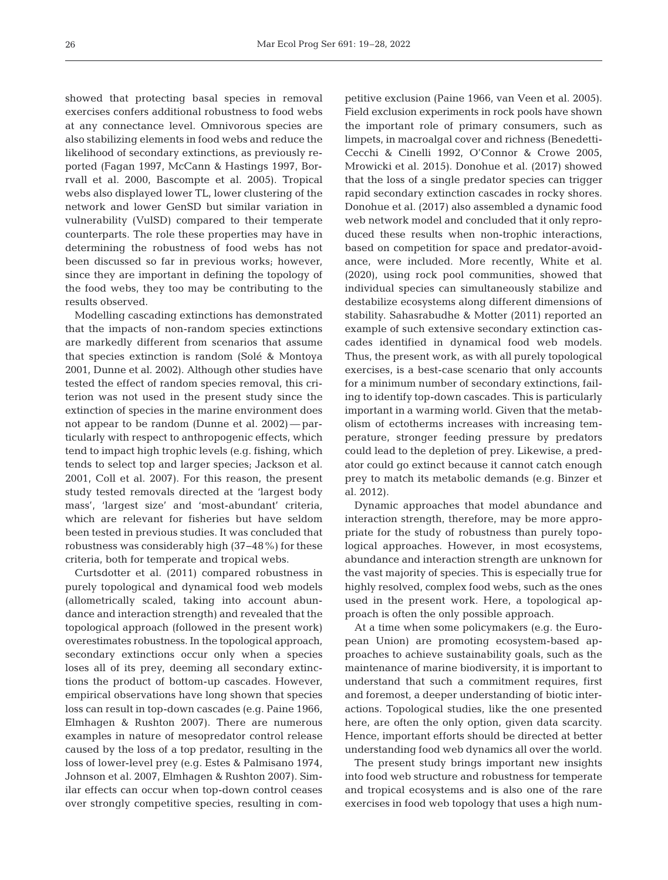showed that protecting basal species in removal exercises confers additional robustness to food webs at any connectance level. Omnivorous species are also stabilizing elements in food webs and reduce the likelihood of secondary extinctions, as previously re ported (Fagan 1997, McCann & Hastings 1997, Borrvall et al. 2000, Bascompte et al. 2005). Tropical webs also displayed lower TL, lower clustering of the network and lower GenSD but similar variation in vulnerability (VulSD) compared to their temperate counterparts. The role these properties may have in determining the robustness of food webs has not been discussed so far in previous works; however, since they are important in defining the topology of the food webs, they too may be contributing to the results observed.

Modelling cascading extinctions has demonstrated that the impacts of non-random species extinctions are markedly different from scenarios that assume that species extinction is random (Solé & Montoya 2001, Dunne et al. 2002). Although other studies have tested the effect of random species removal, this criterion was not used in the present study since the extinction of species in the marine environment does not appear to be random (Dunne et al. 2002) — particularly with respect to anthropogenic effects, which tend to impact high trophic levels (e.g. fishing, which tends to select top and larger species; Jackson et al. 2001, Coll et al. 2007). For this reason, the present study tested removals directed at the 'largest body mass', 'largest size' and 'most-abundant' criteria, which are relevant for fisheries but have seldom been tested in previous studies. It was concluded that robustness was considerably high (37−48%) for these criteria, both for temperate and tropical webs.

Curtsdotter et al. (2011) compared robustness in purely topological and dynamical food web models (allometrically scaled, taking into account abundance and interaction strength) and revealed that the topological approach (followed in the present work) overestimates robustness. In the topological approach, secondary extinctions occur only when a species loses all of its prey, deeming all secondary extinctions the product of bottom-up cascades. However, empirical observations have long shown that species loss can result in top-down cascades (e.g. Paine 1966, Elmhagen & Rushton 2007). There are numerous examples in nature of mesopredator control release caused by the loss of a top predator, resulting in the loss of lower-level prey (e.g. Estes & Palmisano 1974, Johnson et al. 2007, Elmhagen & Rushton 2007). Similar effects can occur when top-down control ceases over strongly competitive species, resulting in competitive exclusion (Paine 1966, van Veen et al. 2005). Field exclusion experiments in rock pools have shown the important role of primary consumers, such as limpets, in macroalgal cover and richness (Benedetti-Cecchi & Cinelli 1992, O'Connor & Crowe 2005, Mrowicki et al. 2015). Donohue et al. (2017) showed that the loss of a single predator species can trigger rapid secondary extinction cascades in rocky shores. Donohue et al. (2017) also assembled a dynamic food web network model and concluded that it only reproduced these results when non-trophic interactions, based on competition for space and predator-avoidance, were included. More recently, White et al. (2020), using rock pool communities, showed that individual species can simultaneously stabilize and destabilize ecosystems along different dimensions of stability. Sahasrabudhe & Motter (2011) reported an example of such extensive secondary extinction cascades identified in dynamical food web models. Thus, the present work, as with all purely topological exercises, is a best-case scenario that only accounts for a minimum number of secondary extinctions, failing to identify top-down cascades. This is particularly important in a warming world. Given that the metabolism of ectotherms increases with increasing temperature, stronger feeding pressure by predators could lead to the depletion of prey. Likewise, a predator could go extinct because it cannot catch enough prey to match its metabolic demands (e.g. Binzer et al. 2012).

Dynamic approaches that model abundance and interaction strength, therefore, may be more appropriate for the study of robustness than purely topological approaches. However, in most ecosystems, abundance and interaction strength are unknown for the vast majority of species. This is especially true for highly resolved, complex food webs, such as the ones used in the present work. Here, a topological approach is often the only possible approach.

At a time when some policymakers (e.g. the European Union) are promoting ecosystem-based approaches to achieve sustainability goals, such as the maintenance of marine biodiversity, it is important to understand that such a commitment requires, first and foremost, a deeper understanding of biotic interactions. Topological studies, like the one presented here, are often the only option, given data scarcity. Hence, important efforts should be directed at better understanding food web dynamics all over the world.

The present study brings important new insights into food web structure and robustness for temperate and tropical ecosystems and is also one of the rare exercises in food web topology that uses a high num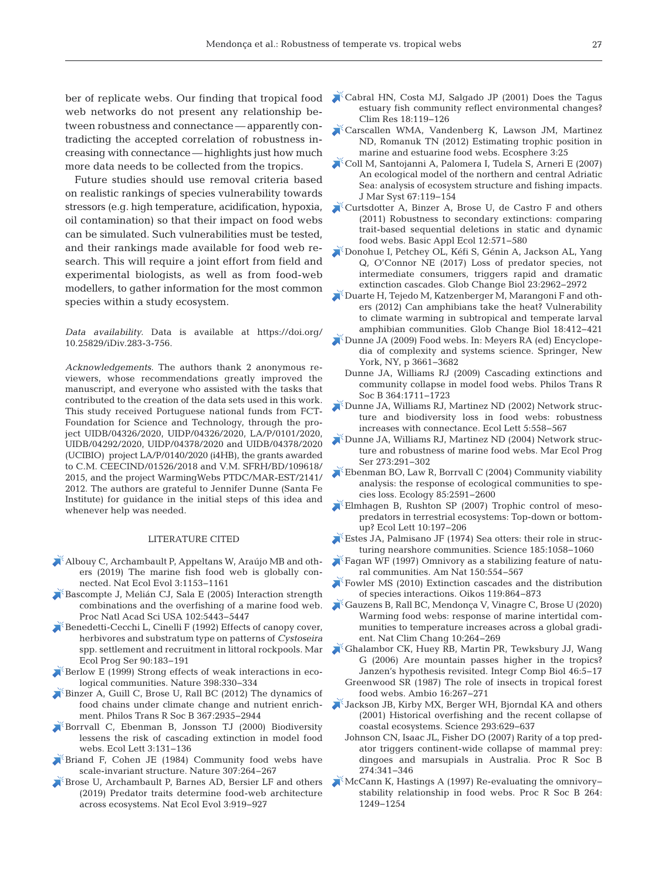web networks do not present any relationship be tween robustness and connectance — apparently contradicting the accepted correlation of robustness increasing with connectance — highlights just how much more data needs to be collected from the tropics.

Future studies should use removal criteria based on realistic rankings of species vulnerability towards stressors (e.g. high temperature, acidification, hypoxia, oil contamination) so that their impact on food webs can be simulated. Such vulnerabilities must be tested, and their rankings made available for food web research. This will require a joint effort from field and ex perimental biologists, as well as from food-web modellers, to gather information for the most common species within a study ecosystem.

*Data availability.* Data is available at https://doi.org/ 10.25829/iDiv.283-3-756.

Acknowledgements. The authors thank 2 anonymous reviewers, whose recommendations greatly improved the manuscript, and everyone who assisted with the tasks that contributed to the creation of the data sets used in this work. This study received Portuguese national funds from FCT-Foundation for Science and Technology, through the project UIDB/04326/2020, UIDP/04326/2020, LA/P/0101/2020, UIDB/04292/2020, UIDP/04378/2020 and UIDB/04378/2020 (UCIBIO) project LA/P/0140/2020 (i4HB), the grants awarded to C.M. CEECIND/01526/2018 and V.M. SFRH/BD/109618/ 2015, and the project WarmingWebs PTDC/MAR-EST/2141/ 2012. The authors are grateful to Jennifer Dunne (Santa Fe Institute) for guidance in the initial steps of this idea and whenever help was needed.

#### LITERATURE CITED

- [Albouy C, Archambault P, Appeltans W, Araújo MB and oth](https://doi.org/10.1038/s41559-019-0950-y)ers (2019) The marine fish food web is globally connected. Nat Ecol Evol 3:1153−1161
- [Bascompte J, Melián CJ, Sala E \(2005\) Interaction strength](https://doi.org/10.1073/pnas.0501562102)  combinations and the overfishing of a marine food web. Proc Natl Acad Sci USA 102:5443−5447
- Benedetti-Cecchi L, Cinelli F (1992) Effects of canopy cover, herbivores and substratum type on patterns of *Cystoseira* spp. settlement and recruitment in littoral rockpools. Mar Ecol Prog Ser 90:183−191
- [Berlow E \(1999\) Strong effects of weak interactions in eco](https://doi.org/10.1038/18672)logical communities. Nature 398:330−334
- Binzer A, Guill C, Brose U, Rall BC (2012) The dynamics of food chains under climate change and nutrient enrichment. Philos Trans R Soc B 367:2935−2944
- [Borrvall C, Ebenman B, Jonsson TJ \(2000\) Biodiversity](https://doi.org/10.1046/j.1461-0248.2000.00130.x)  lessens the risk of cascading extinction in model food webs. Ecol Lett 3:131−136
- [Briand F, Cohen JE \(1984\) Community food webs have](https://doi.org/10.1038/307264a0)  scale-invariant structure. Nature 307:264−267
- [Brose U, Archambault P, Barnes AD, Bersier LF and others](https://doi.org/10.1038/s41559-019-0899-x)  (2019) Predator traits determine food-web architecture across ecosystems. Nat Ecol Evol 3:919−927
- ber of replicate webs. Our finding that tropical food  $\blacktriangleright$  Cabral HN, Costa MJ, Salgado JP (2001) Does the Tagus estuary fish community reflect environmental changes? Clim Res 18:119−126
	- [Carscallen WMA, Vandenberg K, Lawson JM, Martinez](https://doi.org/10.1890/ES11-00224.1)  ND, Romanuk TN (2012) Estimating trophic position in marine and estuarine food webs. Ecosphere 3:25
	- [Coll M, Santojanni A, Palomera I, Tudela S, Arneri E \(2007\)](https://doi.org/10.1016/j.jmarsys.2006.10.002)  An ecological model of the northern and central Adriatic Sea: analysis of ecosystem structure and fishing impacts. J Mar Syst 67:119−154
	- [Curtsdotter A, Binzer A, Brose U, de Castro F and others](https://doi.org/10.1016/j.baae.2011.09.008)  (2011) Robustness to secondary extinctions: comparing trait-based sequential deletions in static and dynamic food webs. Basic Appl Ecol 12:571−580
	- [Donohue I, Petchey OL, Kéfi S, Génin A, Jackson AL, Yang](https://doi.org/10.1111/gcb.13703)  Q, O'Connor NE (2017) Loss of predator species, not intermediate consumers, triggers rapid and dramatic extinction cascades. Glob Change Biol 23:2962−2972
	- [Duarte H, Tejedo M, Katzenberger M, Marangoni F and oth](https://doi.org/10.1111/j.1365-2486.2011.02518.x)ers (2012) Can amphibians take the heat? Vulnerability to climate warming in subtropical and temperate larval amphibian communities. Glob Change Biol 18:412−421
	- [Dunne JA \(2009\) Food webs. In: Meyers RA \(ed\) Encyclope](https://doi.org/10.1098/rstb.2008.0219)dia of complexity and systems science. Springer, New York, NY, p 3661−3682
	- Dunne JA, Williams RJ (2009) Cascading extinctions and community collapse in model food webs. Philos Trans R Soc B 364:1711−1723
	- [Dunne JA, Williams RJ, Martinez ND \(2002\) Network struc](https://doi.org/10.1046/j.1461-0248.2002.00354.x)ture and biodiversity loss in food webs: robustness increases with connectance. Ecol Lett 5:558−567
	- [Dunne JA, Williams RJ, Martinez ND \(2004\) Network struc](https://doi.org/10.3354/meps273291)ture and robustness of marine food webs. Mar Ecol Prog Ser 273:291−302
	- [Ebenman BO, Law R, Borrvall C \(2004\) Community viability](https://doi.org/10.1890/03-8018)  analysis: the response of ecological communities to species loss. Ecology 85:2591−2600
	- [Elmhagen B, Rushton SP \(2007\) Trophic control of meso](https://doi.org/10.1111/j.1461-0248.2006.01010.x)predators in terrestrial ecosystems: Top-down or bottomup? Ecol Lett 10:197−206
	- [Estes JA, Palmisano JF \(1974\) Sea otters: their role in struc](https://doi.org/10.1126/science.185.4156.1058)turing nearshore communities. Science 185:1058−1060
	- [Fagan WF \(1997\) Omnivory as a stabilizing feature of natu](https://doi.org/10.1086/286081)ral communities. Am Nat 150:554−567
	- [Fowler MS \(2010\) Extinction cascades and the distribution](https://doi.org/10.1111/j.1600-0706.2009.17817.x)  of species interactions. Oikos 119:864−873
	- [Gauzens B, Rall BC, Mendonça V, Vinagre C, Brose U \(2020\)](https://doi.org/10.1038/s41558-020-0698-z)  Warming food webs: response of marine intertidal communities to temperature increases across a global gradient. Nat Clim Chang 10:264−269
	- [Ghalambor CK, Huey RB, Martin PR, Tewksbury JJ, Wang](https://doi.org/10.1093/icb/icj003)  G (2006) Are mountain passes higher in the tropics? Janzen's hypothesis revisited. Integr Comp Biol 46:5−17
		- Greenwood SR (1987) The role of insects in tropical forest food webs. Ambio 16:267−271
	- [Jackson JB, Kirby MX, Berger WH, Bjorndal KA and others](https://doi.org/10.1126/science.1059199)  (2001) Historical overfishing and the recent collapse of coastal ecosystems. Science 293:629−637
		- Johnson CN, Isaac JL, Fisher DO (2007) Rarity of a top predator triggers continent-wide collapse of mammal prey: dingoes and marsupials in Australia. Proc R Soc B 274:341−346
	- [McCann K, Hastings A \(1997\) Re-evaluating the omnivory−](https://doi.org/10.1098/rspb.1997.0172) stability relationship in food webs. Proc R Soc B 264: 1249−1254